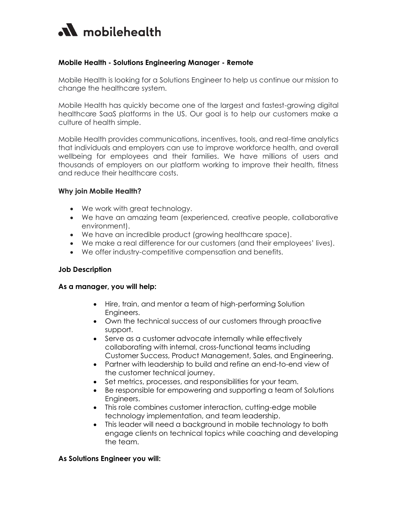

## **Mobile Health - Solutions Engineering Manager - Remote**

Mobile Health is looking for a Solutions Engineer to help us continue our mission to change the healthcare system.

Mobile Health has quickly become one of the largest and fastest-growing digital healthcare SaaS platforms in the US. Our goal is to help our customers make a culture of health simple.

Mobile Health provides communications, incentives, tools, and real-time analytics that individuals and employers can use to improve workforce health, and overall wellbeing for employees and their families. We have millions of users and thousands of employers on our platform working to improve their health, fitness and reduce their healthcare costs.

### **Why join Mobile Health?**

- We work with great technology.
- We have an amazing team (experienced, creative people, collaborative environment).
- We have an incredible product (growing healthcare space).
- We make a real difference for our customers (and their employees' lives).
- We offer industry-competitive compensation and benefits.

#### **Job Description**

#### **As a manager, you will help:**

- Hire, train, and mentor a team of high-performing Solution Engineers.
- Own the technical success of our customers through proactive support.
- Serve as a customer advocate internally while effectively collaborating with internal, cross-functional teams including Customer Success, Product Management, Sales, and Engineering.
- Partner with leadership to build and refine an end-to-end view of the customer technical journey.
- Set metrics, processes, and responsibilities for your team.
- Be responsible for empowering and supporting a team of Solutions Engineers.
- This role combines customer interaction, cutting-edge mobile technology implementation, and team leadership.
- This leader will need a background in mobile technology to both engage clients on technical topics while coaching and developing the team.

#### **As Solutions Engineer you will:**